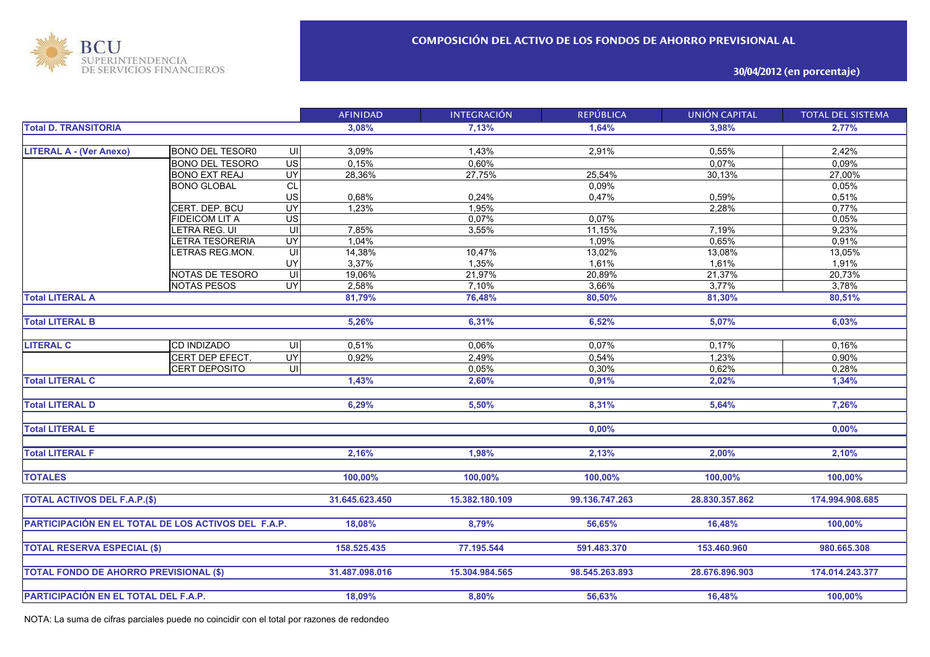

**30/04/2012 (en porcentaje)**

|                                                            |                        |                          | <b>AFINIDAD</b> | <b>INTEGRACIÓN</b> | <b>REPÚBLICA</b> | <b>UNIÓN CAPITAL</b> | <b>TOTAL DEL SISTEMA</b> |
|------------------------------------------------------------|------------------------|--------------------------|-----------------|--------------------|------------------|----------------------|--------------------------|
| <b>Total D. TRANSITORIA</b>                                |                        |                          | 3,08%           | 7,13%              | 1,64%            | 3,98%                | 2,77%                    |
|                                                            |                        |                          |                 |                    |                  |                      |                          |
| <b>LITERAL A - (Ver Anexo)</b>                             | <b>BONO DEL TESORO</b> | UI                       | 3,09%           | 1,43%              | 2,91%            | 0,55%                | 2,42%                    |
|                                                            | <b>BONO DEL TESORO</b> | $\overline{\mathsf{US}}$ | 0,15%           | 0,60%              |                  | 0,07%                | 0,09%                    |
|                                                            | <b>BONO EXT REAJ</b>   | $\overline{UY}$          | 28,36%          | 27,75%             | 25,54%           | 30,13%               | 27,00%                   |
|                                                            | <b>BONO GLOBAL</b>     | CL                       |                 |                    | 0,09%            |                      | 0,05%                    |
|                                                            |                        | US                       | 0,68%           | 0,24%              | 0,47%            | 0,59%                | 0,51%                    |
|                                                            | CERT. DEP. BCU         | $\overline{UY}$          | 1,23%           | 1,95%              |                  | 2,28%                | 0,77%                    |
|                                                            | <b>FIDEICOM LIT A</b>  | $\overline{US}$          |                 | 0,07%              | 0,07%            |                      | 0,05%                    |
|                                                            | LETRA REG. UI          | q                        | 7,85%           | 3,55%              | 11,15%           | 7,19%                | 9,23%                    |
|                                                            | LETRA TESORERIA        | UY                       | 1,04%           |                    | 1,09%            | 0,65%                | 0,91%                    |
|                                                            | LETRAS REG.MON.        | UI                       | 14,38%          | 10,47%             | 13,02%           | 13,08%               | 13,05%                   |
|                                                            |                        | UY                       | 3,37%           | 1,35%              | 1,61%            | 1,61%                | 1,91%                    |
|                                                            | NOTAS DE TESORO        | UI                       | 19,06%          | 21,97%             | 20,89%           | 21,37%               | 20,73%                   |
|                                                            | <b>NOTAS PESOS</b>     | UY                       | 2,58%           | 7,10%              | 3,66%            | 3,77%                | 3,78%                    |
| <b>Total LITERAL A</b>                                     |                        |                          | 81,79%          | 76,48%             | 80,50%           | 81,30%               | 80,51%                   |
|                                                            |                        |                          |                 |                    |                  |                      |                          |
| <b>Total LITERAL B</b>                                     |                        |                          | 5,26%           | 6,31%              | 6,52%            | 5,07%                | 6,03%                    |
|                                                            |                        |                          |                 |                    |                  |                      |                          |
| <b>LITERAL C</b>                                           | <b>CD INDIZADO</b>     | UI                       | 0,51%           | 0,06%              | 0,07%            | 0,17%                | 0,16%                    |
|                                                            | CERT DEP EFECT.        | UY                       | 0,92%           | 2,49%              | 0,54%            | 1,23%                | 0,90%                    |
|                                                            | CERT DEPOSITO          | $\overline{u}$           |                 | 0,05%              | 0,30%            | 0,62%                | 0,28%                    |
| <b>Total LITERAL C</b>                                     |                        |                          | 1,43%           | 2,60%              | 0,91%            | 2,02%                | 1,34%                    |
|                                                            |                        |                          |                 |                    |                  |                      |                          |
| <b>Total LITERAL D</b>                                     |                        |                          | 6,29%           | 5,50%              | 8,31%            | 5,64%                | 7,26%                    |
|                                                            |                        |                          |                 |                    |                  |                      |                          |
| <b>Total LITERAL E</b>                                     |                        |                          |                 |                    | 0,00%            |                      | $0,00\%$                 |
|                                                            |                        |                          |                 |                    |                  |                      |                          |
| <b>Total LITERAL F</b>                                     |                        |                          | 2,16%           | 1,98%              | 2,13%            | 2,00%                | 2,10%                    |
|                                                            |                        |                          |                 |                    |                  |                      |                          |
| <b>TOTALES</b>                                             |                        |                          | 100,00%         | 100,00%            | 100,00%          | 100,00%              | 100,00%                  |
|                                                            |                        |                          |                 |                    |                  |                      |                          |
| <b>TOTAL ACTIVOS DEL F.A.P.(\$)</b>                        |                        |                          | 31.645.623.450  | 15.382.180.109     | 99.136.747.263   | 28.830.357.862       | 174.994.908.685          |
|                                                            |                        |                          |                 |                    |                  |                      |                          |
| <b>PARTICIPACIÓN EN EL TOTAL DE LOS ACTIVOS DEL F.A.P.</b> |                        |                          | 18,08%          | 8,79%              | 56,65%           | 16,48%               | 100,00%                  |
|                                                            |                        |                          |                 |                    |                  |                      |                          |
| <b>TOTAL RESERVA ESPECIAL (\$)</b>                         |                        |                          | 158.525.435     | 77.195.544         | 591.483.370      | 153.460.960          | 980.665.308              |
|                                                            |                        |                          |                 |                    |                  |                      |                          |
|                                                            |                        |                          | 31.487.098.016  | 15.304.984.565     | 98.545.263.893   | 28.676.896.903       | 174.014.243.377          |
| <b>TOTAL FONDO DE AHORRO PREVISIONAL (\$)</b>              |                        |                          |                 |                    |                  |                      |                          |
|                                                            |                        |                          |                 |                    |                  |                      |                          |
| PARTICIPACIÓN EN EL TOTAL DEL F.A.P.                       |                        |                          | 18,09%          | 8,80%              | 56,63%           | 16,48%               | 100,00%                  |

NOTA: La suma de cifras parciales puede no coincidir con el total por razones de redondeo